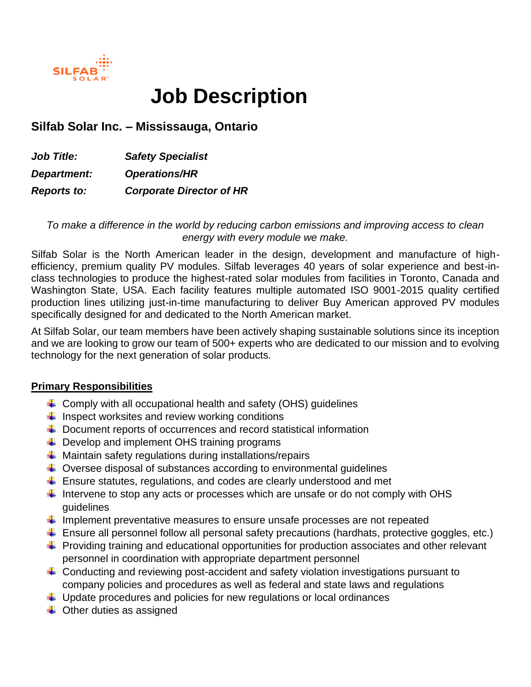

# **Job Description**

# **Silfab Solar Inc. – Mississauga, Ontario**

*Job Title: Safety Specialist Department: Operations/HR Reports to: Corporate Director of HR*

*To make a difference in the world by reducing carbon emissions and improving access to clean energy with every module we make.*

Silfab Solar is the North American leader in the design, development and manufacture of highefficiency, premium quality PV modules. Silfab leverages 40 years of solar experience and best-inclass technologies to produce the highest-rated solar modules from facilities in Toronto, Canada and Washington State, USA. Each facility features multiple automated ISO 9001-2015 quality certified production lines utilizing just-in-time manufacturing to deliver Buy American approved PV modules specifically designed for and dedicated to the North American market.

At Silfab Solar, our team members have been actively shaping sustainable solutions since its inception and we are looking to grow our team of 500+ experts who are dedicated to our mission and to evolving technology for the next generation of solar products.

#### **Primary Responsibilities**

- $\triangleq$  Comply with all occupational health and safety (OHS) guidelines
- $\downarrow$  Inspect worksites and review working conditions
- $\overline{\phantom{a}}$  Document reports of occurrences and record statistical information
- $\downarrow$  Develop and implement OHS training programs
- $\ddot{*}$  Maintain safety regulations during installations/repairs
- $\ddot{+}$  Oversee disposal of substances according to environmental guidelines
- $\ddot{\phantom{1}}$  Ensure statutes, regulations, and codes are clearly understood and met
- Intervene to stop any acts or processes which are unsafe or do not comply with OHS guidelines
- Implement preventative measures to ensure unsafe processes are not repeated
- $\ddot{\phantom{1}}$  Ensure all personnel follow all personal safety precautions (hardhats, protective goggles, etc.)
- $\ddot{\phantom{1}}$  Providing training and educational opportunities for production associates and other relevant personnel in coordination with appropriate department personnel
- $\ddot{+}$  Conducting and reviewing post-accident and safety violation investigations pursuant to company policies and procedures as well as federal and state laws and regulations
- $\ddot{\phantom{1}}$  Update procedures and policies for new regulations or local ordinances
- $\triangleq$  Other duties as assigned